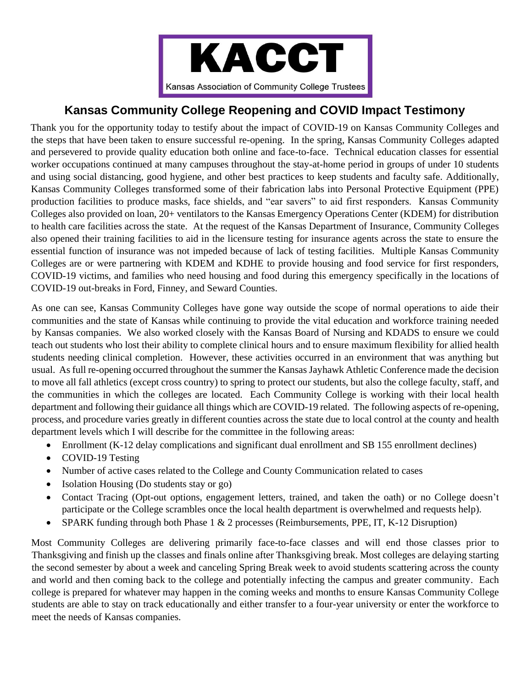

## **Kansas Community College Reopening and COVID Impact Testimony**

Thank you for the opportunity today to testify about the impact of COVID-19 on Kansas Community Colleges and the steps that have been taken to ensure successful re-opening. In the spring, Kansas Community Colleges adapted and persevered to provide quality education both online and face-to-face. Technical education classes for essential worker occupations continued at many campuses throughout the stay-at-home period in groups of under 10 students and using social distancing, good hygiene, and other best practices to keep students and faculty safe. Additionally, Kansas Community Colleges transformed some of their fabrication labs into Personal Protective Equipment (PPE) production facilities to produce masks, face shields, and "ear savers" to aid first responders. Kansas Community Colleges also provided on loan, 20+ ventilators to the Kansas Emergency Operations Center (KDEM) for distribution to health care facilities across the state. At the request of the Kansas Department of Insurance, Community Colleges also opened their training facilities to aid in the licensure testing for insurance agents across the state to ensure the essential function of insurance was not impeded because of lack of testing facilities. Multiple Kansas Community Colleges are or were partnering with KDEM and KDHE to provide housing and food service for first responders, COVID-19 victims, and families who need housing and food during this emergency specifically in the locations of COVID-19 out-breaks in Ford, Finney, and Seward Counties.

As one can see, Kansas Community Colleges have gone way outside the scope of normal operations to aide their communities and the state of Kansas while continuing to provide the vital education and workforce training needed by Kansas companies. We also worked closely with the Kansas Board of Nursing and KDADS to ensure we could teach out students who lost their ability to complete clinical hours and to ensure maximum flexibility for allied health students needing clinical completion. However, these activities occurred in an environment that was anything but usual. As full re-opening occurred throughout the summer the Kansas Jayhawk Athletic Conference made the decision to move all fall athletics (except cross country) to spring to protect our students, but also the college faculty, staff, and the communities in which the colleges are located. Each Community College is working with their local health department and following their guidance all things which are COVID-19 related. The following aspects of re-opening, process, and procedure varies greatly in different counties across the state due to local control at the county and health department levels which I will describe for the committee in the following areas:

- Enrollment (K-12 delay complications and significant dual enrollment and SB 155 enrollment declines)
- COVID-19 Testing
- Number of active cases related to the College and County Communication related to cases
- Isolation Housing (Do students stay or go)
- Contact Tracing (Opt-out options, engagement letters, trained, and taken the oath) or no College doesn't participate or the College scrambles once the local health department is overwhelmed and requests help).
- SPARK funding through both Phase 1 & 2 processes (Reimbursements, PPE, IT, K-12 Disruption)

Most Community Colleges are delivering primarily face-to-face classes and will end those classes prior to Thanksgiving and finish up the classes and finals online after Thanksgiving break. Most colleges are delaying starting the second semester by about a week and canceling Spring Break week to avoid students scattering across the county and world and then coming back to the college and potentially infecting the campus and greater community. Each college is prepared for whatever may happen in the coming weeks and months to ensure Kansas Community College students are able to stay on track educationally and either transfer to a four-year university or enter the workforce to meet the needs of Kansas companies.